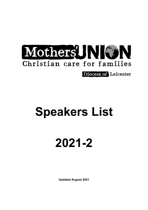

**Diocese of Leicester** 

## **Speakers List**

# **2021-2**

**Updated August 2021**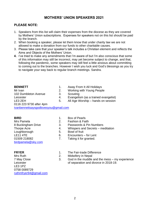## **MOTHERS' UNION SPEAKERS 2021**

## **PLEASE NOTE:**

- 1. Speakers from this list will claim their expenses from the diocese as they are covered by Mothers' Union subscriptions. Expenses for speakers not on this list should be paid by the branch.
- 2. When booking a speaker, please let them know that under charity law we are not allowed to make a donation from our funds to other charitable causes.
- 3. Please take care that your speaker's talk includes a Christian element and reflects the Aims and Objects of the Mothers' Union.
- **4.** I've tried to make any amendments that I'm aware of but I'm also conscious that some of this information may still be incorrect, may yet become subject to change, and that, following the pandemic, some speakers may still feel a little anxious about committing to coming out to the branches. However I wish you luck and God's blessings as you try to navigate your way back to regular branch meetings. Sandra.

| <b>BENNETT</b>                       | 1. | Away From It All Holidays            |
|--------------------------------------|----|--------------------------------------|
| Mr Ivan                              | 2. | Working with Young People            |
| 102 Dumbleton Avenue                 | 3. | Scouting                             |
| Leicester                            | 4. | Evangelism (as a trained evangelist) |
| LE3 2EH                              | 5. | All Age Worship - hands on session   |
| 0116 223 9730 after 4pm              |    |                                      |
| ivanbennettsaysgodlovesyou@gmail.com |    |                                      |
|                                      |    |                                      |

Mrs Pamela 2. Fashion & Faith Loughborough 5. Bowl of fruit [birdpamela@sky.com](mailto:birdpamela@sky.com)

Mrs Ruth 2. Midwifery in Nepal LE3 1PZ 0758 0089729 [ruthmfryer94@gmail.com](mailto:ruthmfryer94@gmail.com)

- **BIRD** 1. Box of Pearls
	-
- 8 Buckingham Drive 3. Passwords & Pin Numbers
- Thorpe Acre **4.** Whispers and Secrets meditation
	-
- LE11 4TE 6. Encounters for Lent
- 01509 218082 7. Taking it for granted.
- **FRYER** 1. The Fair-trade Difference
	-
- 7 May Close 3. God in the muddle and the mess my experience Leicester **Leicester CELC 12018-19.** Conservation and divorce in 2018-19.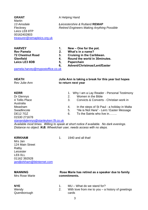## **GRANT** A Helping Hand **Martin** Leics LE8 8TP 00162402803 [treasurer@remapleics.org.uk](mailto:treasurer@remapleics.org.uk)

*13 Ainsdale Leicestershire &* Rutland **REMAP** Fleckney *Retired Engineers Making Anything Possible*

**HARVEY 1. New – One for the pot. Rev Pamela 2. What's in a name? Leics LE3 8DB 5, Paperchain**

- **72 Chestnut Road 3. Cruising in the Caribbean.**
- **Glenfield 4. Round the world in 30minutes.**
	-
	- **6, Advent/Christmas/Lent/Easter**

[pamela.harvey@mypostoffice.co.uk](mailto:pamela.harvey@mypostoffice.co.uk)

## **HEATH Julie Ann is taking a break for this year but hopes**  Rev Julie-Ann **to return next year**

Australia

01530 271678

- 
- **KERR** 1. Why I am a Lay Reader Personal Testimony
- Dr Glennys 2. Women in the Bible<br>4 Tellis Place 3. Convicts & Converts 3. Convicts & Converts - Christian work in
- Measham 4. In the steps of St Paul a holiday in Malta
- Swadlincote 5. "He is Not Here" Lent / Easter Message
- DE12 7GZ 6. To the Saints who live in…….

[stanandglennys@stanleykerr.f9.co.uk](mailto:stanandglennys@stanleykerr.f9.co.uk) *Available most times. Willing to speak at short notice if available. No dark evenings. Distance no object. N.B. Wheelchair user, needs access with no steps.*

**KIRKHAM** 1. 1940 and all that!

Mrs Jan 124 Main Street Ratby Leicester LE6 0LL 01162 392928 [jandjkirkham@btinternet.com](mailto:jandjkirkham@btinternet.com)

Mrs Rose Marie **commitments.**

## **MANNING Rose Marie has retired as a speaker due to family**

- **NYE** 1. MU What do we stand for?
- Wendy 2. With love from me to you a history of greetings Queniborough cards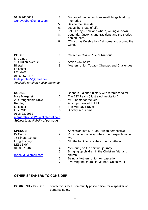[wendybob27@gmail.com](mailto:wendybob27@gmail.com) memories

- 0116 2605601 3. My box of memories: how small things hold big
	- 5. Beside the Seaside
	- 6. Jesus the Bread of Life
	- 7. Let us pray how and where, writing our own<br>8. Legends, Customs and traditions and the stori
	- Legends, Customs and traditions and the stories behind them.
	- 8. "Christmas Celebrations" at home and around the world.

- **POOLE** 2.1. Church or Civil Rule or Rumour!
- Mrs Linda 15 Curzon Avenue 2. Amish way of life Birstall 3. Mothers Union Today– Changes and Challenges Leicester LE4 4AE 0116 2673435 [linda.poole25@gmail.com](mailto:linda.poole25@gmail.com)

*Available for short notice bookings*

### Miss Margaret 2. The 23<sup>rd</sup> Psalm (illustrated meditation)<br>29 Grangefields Drive 3. MU Theme for the year 29 Grangefields Drive 3. Rothley **4.** Any topic related to MU Leicester 5. The Mid-day Prayer LE7 7ND 6. Slavery in our time 0116 2302932 [margaretrouse123@btinternet.com](mailto:margaretrouse123@btinternet.com) *Subject to availability of transport*

76 Kings Avenue MU LE11 5HY

[radoc239@gmail.com](mailto:radoc239@gmail.com) church

- **ROUSE** 1. Banners a short history with reference to MU
	-
	-
	-
	-
	-
- **SPENCER** 1. Admission into MU an African perspective
- Dr Codra 2. Pure women ministry the church expectation of
- Loughborough 3. MU the backbone of the church in Africa
- 01509 767042 4. Mentoring on the spiritual journey.
	- 5. Bringing up children in the Christian faith and
	- 6. Being a Mothers Union Ambassador
	- 7. Involving the church in Mothers Union work

### **OTHER SPEAKERS TO CONSIDER:**

**COMMUNITY POLICE** contact your local community police officer for a speaker on personal safety